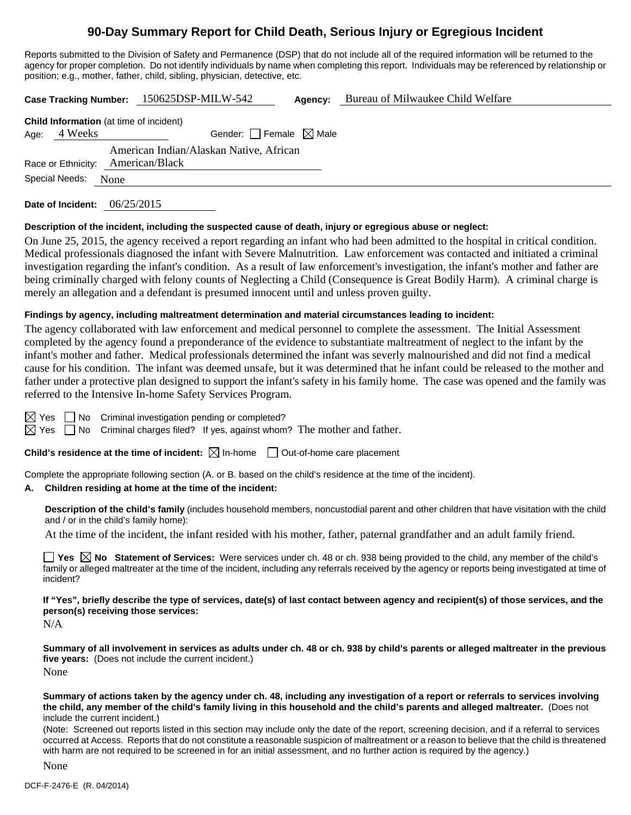# **90-Day Summary Report for Child Death, Serious Injury or Egregious Incident**

Reports submitted to the Division of Safety and Permanence (DSP) that do not include all of the required information will be returned to the agency for proper completion. Do not identify individuals by name when completing this report. Individuals may be referenced by relationship or position; e.g., mother, father, child, sibling, physician, detective, etc.

|                    | <b>Case Tracking Number:</b>                   | 150625DSP-MILW-542                                        | Agency: | Bureau of Milwaukee Child Welfare |  |
|--------------------|------------------------------------------------|-----------------------------------------------------------|---------|-----------------------------------|--|
|                    | <b>Child Information</b> (at time of incident) |                                                           |         |                                   |  |
| 4 Weeks<br>Age:    |                                                | Gender: Female $\boxtimes$ Male                           |         |                                   |  |
| Race or Ethnicity: |                                                | American Indian/Alaskan Native, African<br>American/Black |         |                                   |  |
| Special Needs:     | None                                           |                                                           |         |                                   |  |

**Date of Incident:** 06/25/2015

## **Description of the incident, including the suspected cause of death, injury or egregious abuse or neglect:**

On June 25, 2015, the agency received a report regarding an infant who had been admitted to the hospital in critical condition. Medical professionals diagnosed the infant with Severe Malnutrition. Law enforcement was contacted and initiated a criminal investigation regarding the infant's condition. As a result of law enforcement's investigation, the infant's mother and father are being criminally charged with felony counts of Neglecting a Child (Consequence is Great Bodily Harm). A criminal charge is merely an allegation and a defendant is presumed innocent until and unless proven guilty.

## **Findings by agency, including maltreatment determination and material circumstances leading to incident:**

The agency collaborated with law enforcement and medical personnel to complete the assessment. The Initial Assessment completed by the agency found a preponderance of the evidence to substantiate maltreatment of neglect to the infant by the infant's mother and father. Medical professionals determined the infant was severly malnourished and did not find a medical cause for his condition. The infant was deemed unsafe, but it was determined that he infant could be released to the mother and father under a protective plan designed to support the infant's safety in his family home. The case was opened and the family was referred to the Intensive In-home Safety Services Program.

 $\boxtimes$  Yes  $\Box$  No Criminal investigation pending or completed?

 $\boxtimes$  Yes  $\Box$  No Criminal charges filed? If yes, against whom? The mother and father.

**Child's residence at the time of incident:**  $\boxtimes$  In-home  $\Box$  Out-of-home care placement

Complete the appropriate following section (A. or B. based on the child's residence at the time of the incident).

## **A. Children residing at home at the time of the incident:**

**Description of the child's family** (includes household members, noncustodial parent and other children that have visitation with the child and / or in the child's family home):

At the time of the incident, the infant resided with his mother, father, paternal grandfather and an adult family friend.

**Yes**  $\boxtimes$  **No** Statement of Services: Were services under ch. 48 or ch. 938 being provided to the child, any member of the child's family or alleged maltreater at the time of the incident, including any referrals received by the agency or reports being investigated at time of incident?

**If "Yes", briefly describe the type of services, date(s) of last contact between agency and recipient(s) of those services, and the person(s) receiving those services:** 

N/A

**Summary of all involvement in services as adults under ch. 48 or ch. 938 by child's parents or alleged maltreater in the previous five years:** (Does not include the current incident.)

None

**Summary of actions taken by the agency under ch. 48, including any investigation of a report or referrals to services involving the child, any member of the child's family living in this household and the child's parents and alleged maltreater.** (Does not include the current incident.)

(Note: Screened out reports listed in this section may include only the date of the report, screening decision, and if a referral to services occurred at Access. Reports that do not constitute a reasonable suspicion of maltreatment or a reason to believe that the child is threatened with harm are not required to be screened in for an initial assessment, and no further action is required by the agency.)

None